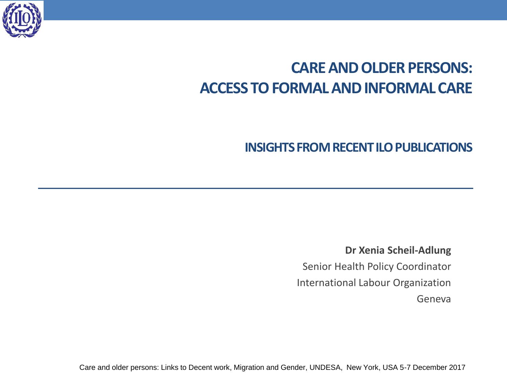

# **CARE AND OLDER PERSONS: ACCESS TO FORMAL AND INFORMAL CARE**

# **INSIGHTS FROM RECENT ILO PUBLICATIONS**

**Dr Xenia Scheil-Adlung** Senior Health Policy Coordinator International Labour Organization Geneva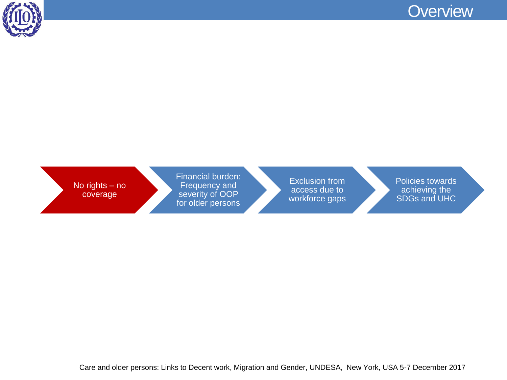



No rights – no coverage

Financial burden: Frequency and severity of OOP for older persons

Exclusion from access due to workforce gaps Policies towards achieving the SDGs and UHC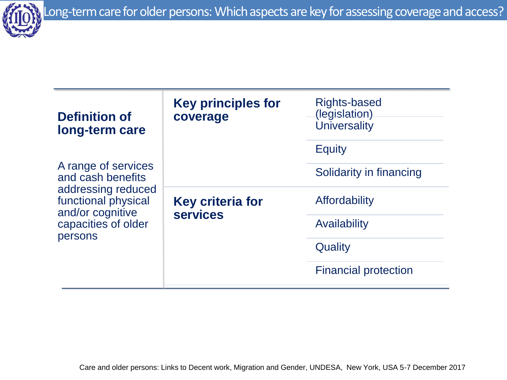

| Definition of<br>long-term care<br>A range of services<br>and cash benefits<br>addressing reduced<br>functional physical<br>and/or cognitive<br>capacities of older<br>persons | <b>Key principles for</b><br>coverage      | Rights-based<br>(legislation)<br><b>Universality</b> |
|--------------------------------------------------------------------------------------------------------------------------------------------------------------------------------|--------------------------------------------|------------------------------------------------------|
|                                                                                                                                                                                |                                            | <b>Equity</b>                                        |
|                                                                                                                                                                                |                                            | Solidarity in financing                              |
|                                                                                                                                                                                | <b>Key criteria for</b><br><b>services</b> | <b>Affordability</b>                                 |
|                                                                                                                                                                                |                                            | Availability                                         |
|                                                                                                                                                                                |                                            | Quality                                              |
|                                                                                                                                                                                |                                            | <b>Financial protection</b>                          |
|                                                                                                                                                                                |                                            |                                                      |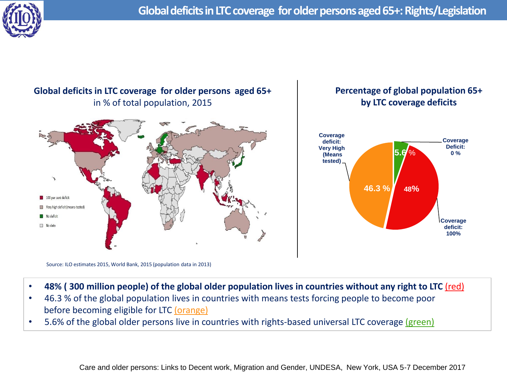



Source: ILO estimates 2015, World Bank, 2015 (population data in 2013)

- 48% (300 million people) of the global older population lives in countries without any right to LTC (red)
- 46.3 % of the global population lives in countries with means tests forcing people to become poor before becoming eligible for LTC (orange)
- 5.6% of the global older persons live in countries with rights-based universal LTC coverage (green)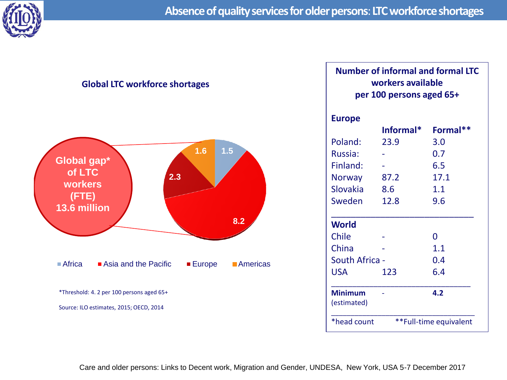

#### **Global LTC workforce shortages**



#### **Number of informal and formal LTC workers available per 100 persons aged 65+**

| <b>Europe</b>         |                        |          |
|-----------------------|------------------------|----------|
|                       | Informal*              | Formal** |
| Poland:               | 23.9                   | 3.0      |
| Russia:               |                        | 0.7      |
| Finland:              |                        | 6.5      |
| <b>Norway</b>         | 87.2                   | 17.1     |
| Slovakia              | 8.6                    | 1.1      |
| Sweden                | 12.8                   | 9.6      |
|                       |                        |          |
| <b>World</b>          |                        |          |
| Chile                 |                        | O        |
| China                 |                        | 1.1      |
| <b>South Africa -</b> |                        | 0.4      |
| USA                   | 123                    | 6.4      |
|                       |                        |          |
| <b>Minimum</b>        |                        | 4.2      |
| (estimated)           |                        |          |
| *head count           | **Full-time equivalent |          |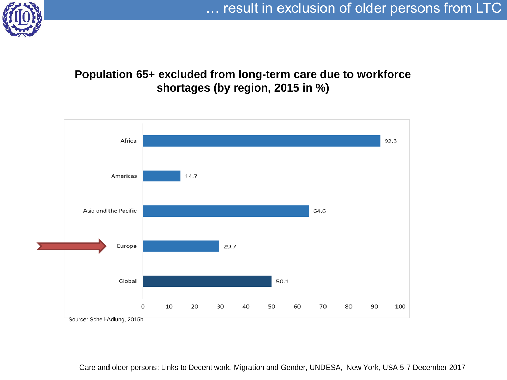

# **Population 65+ excluded from long-term care due to workforce shortages (by region, 2015 in %)**

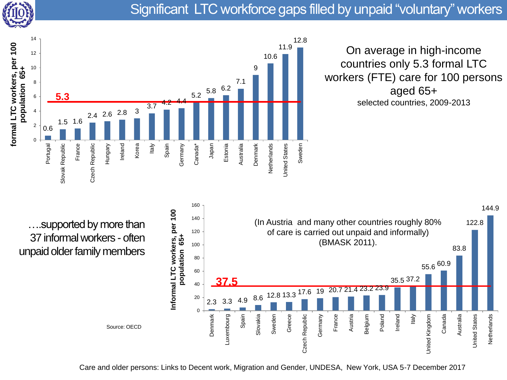

# Significant LTC workforce gaps filled by unpaid "voluntary" workers



On average in high-income countries only 5.3 formal LTC workers (FTE) care for 100 persons aged 65+ selected countries, 2009-2013

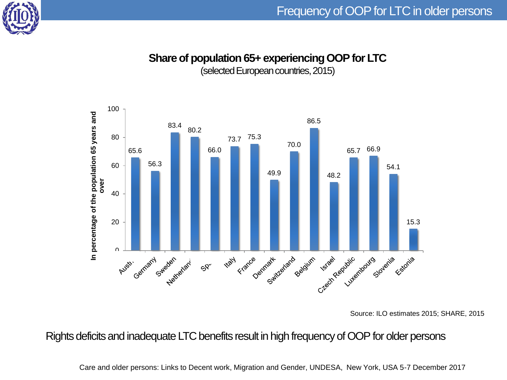

## **Share of population 65+ experiencing OOP for LTC**

(selected European countries, 2015)



Source: ILO estimates 2015; SHARE, 2015

Rights deficits and inadequate LTC benefits result in high frequency of OOP for older persons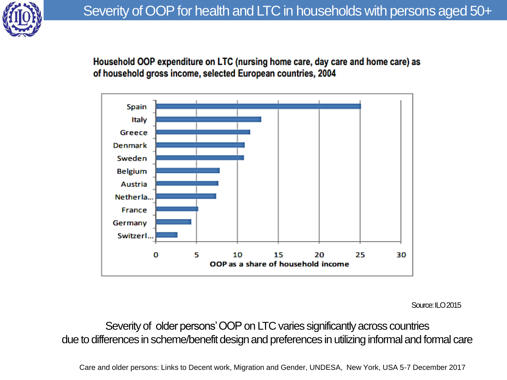

Household OOP expenditure on LTC (nursing home care, day care and home care) as of household gross income, selected European countries, 2004



Source: ILO 2015

Severity of older persons' OOP on LTC varies significantly across countries due to differences in scheme/benefit design and preferences in utilizing informal and formal care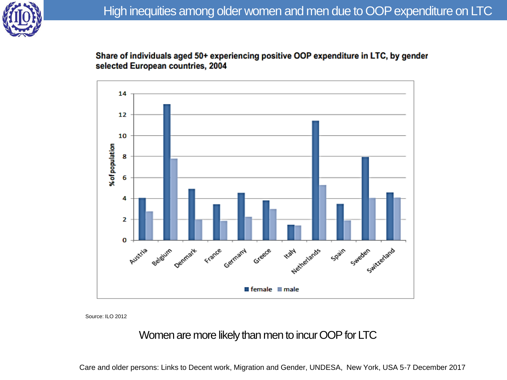

Share of individuals aged 50+ experiencing positive OOP expenditure in LTC, by gender selected European countries, 2004



Source: ILO 2012

# Women are more likely than men to incur OOP for LTC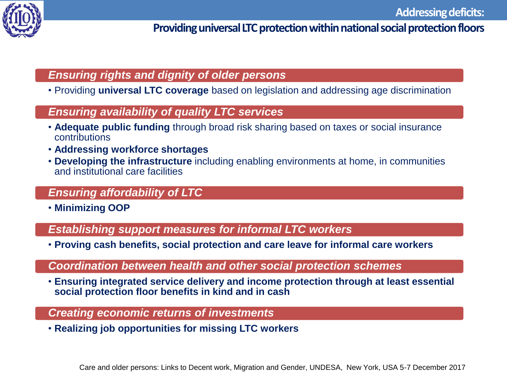

# **Providing universal LTC protection within national social protection floors**

### *Ensuring rights and dignity of older persons*

• Providing **universal LTC coverage** based on legislation and addressing age discrimination

#### *Ensuring availability of quality LTC services*

- **Adequate public funding** through broad risk sharing based on taxes or social insurance contributions
- **Addressing workforce shortages**
- **Developing the infrastructure** including enabling environments at home, in communities and institutional care facilities

## *Ensuring affordability of LTC*

• **Minimizing OOP** 

*Establishing support measures for informal LTC workers*

• **Proving cash benefits, social protection and care leave for informal care workers** 

#### *Coordination between health and other social protection schemes*

• **Ensuring integrated service delivery and income protection through at least essential social protection floor benefits in kind and in cash**

#### *Creating economic returns of investments*

• **Realizing job opportunities for missing LTC workers**